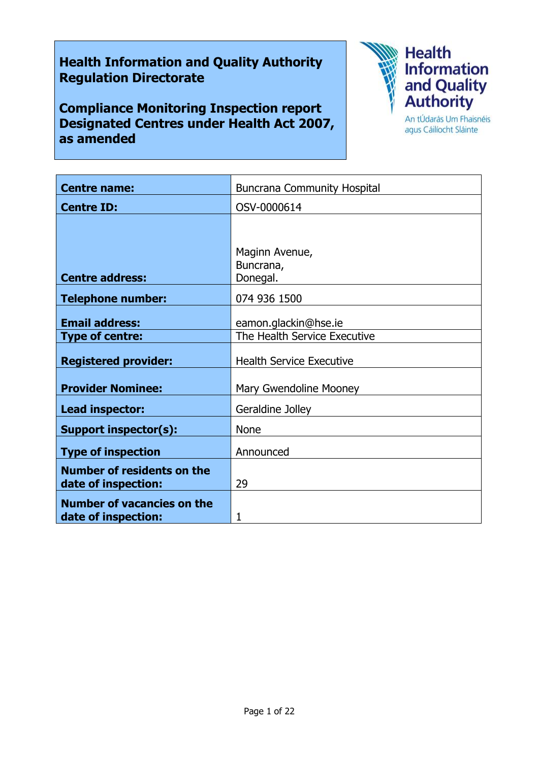# **Health Information and Quality Authority Regulation Directorate**

**Compliance Monitoring Inspection report Designated Centres under Health Act 2007, as amended**



agus Cáilíocht Sláinte

| <b>Centre name:</b>                                      | <b>Buncrana Community Hospital</b>      |
|----------------------------------------------------------|-----------------------------------------|
| <b>Centre ID:</b>                                        | OSV-0000614                             |
|                                                          |                                         |
| <b>Centre address:</b>                                   | Maginn Avenue,<br>Buncrana,<br>Donegal. |
| <b>Telephone number:</b>                                 | 074 936 1500                            |
| <b>Email address:</b>                                    | eamon.glackin@hse.ie                    |
| <b>Type of centre:</b>                                   | The Health Service Executive            |
| <b>Registered provider:</b>                              | <b>Health Service Executive</b>         |
| <b>Provider Nominee:</b>                                 | Mary Gwendoline Mooney                  |
| Lead inspector:                                          | Geraldine Jolley                        |
| <b>Support inspector(s):</b>                             | <b>None</b>                             |
| <b>Type of inspection</b>                                | Announced                               |
| <b>Number of residents on the</b><br>date of inspection: | 29                                      |
| <b>Number of vacancies on the</b><br>date of inspection: | 1                                       |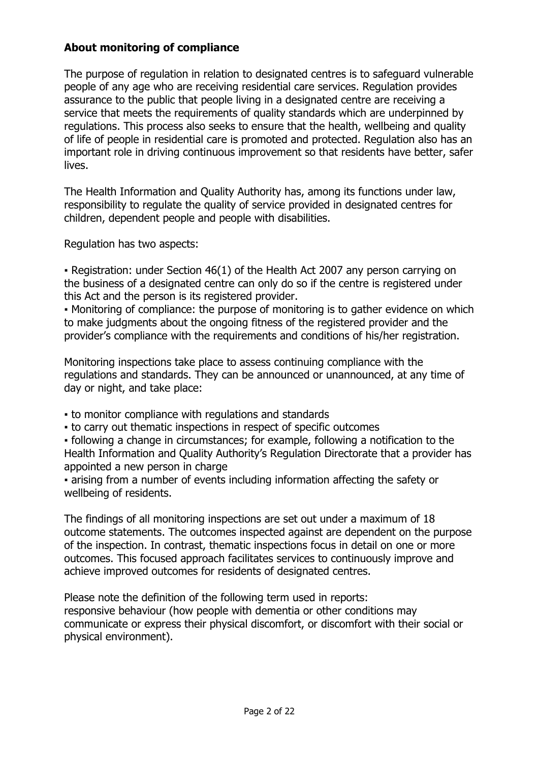## **About monitoring of compliance**

The purpose of regulation in relation to designated centres is to safeguard vulnerable people of any age who are receiving residential care services. Regulation provides assurance to the public that people living in a designated centre are receiving a service that meets the requirements of quality standards which are underpinned by regulations. This process also seeks to ensure that the health, wellbeing and quality of life of people in residential care is promoted and protected. Regulation also has an important role in driving continuous improvement so that residents have better, safer lives.

The Health Information and Quality Authority has, among its functions under law, responsibility to regulate the quality of service provided in designated centres for children, dependent people and people with disabilities.

Regulation has two aspects:

• Registration: under Section 46(1) of the Health Act 2007 any person carrying on the business of a designated centre can only do so if the centre is registered under this Act and the person is its registered provider.

▪ Monitoring of compliance: the purpose of monitoring is to gather evidence on which to make judgments about the ongoing fitness of the registered provider and the provider's compliance with the requirements and conditions of his/her registration.

Monitoring inspections take place to assess continuing compliance with the regulations and standards. They can be announced or unannounced, at any time of day or night, and take place:

- to monitor compliance with regulations and standards
- to carry out thematic inspections in respect of specific outcomes

▪ following a change in circumstances; for example, following a notification to the Health Information and Quality Authority's Regulation Directorate that a provider has appointed a new person in charge

▪ arising from a number of events including information affecting the safety or wellbeing of residents.

The findings of all monitoring inspections are set out under a maximum of 18 outcome statements. The outcomes inspected against are dependent on the purpose of the inspection. In contrast, thematic inspections focus in detail on one or more outcomes. This focused approach facilitates services to continuously improve and achieve improved outcomes for residents of designated centres.

Please note the definition of the following term used in reports: responsive behaviour (how people with dementia or other conditions may communicate or express their physical discomfort, or discomfort with their social or physical environment).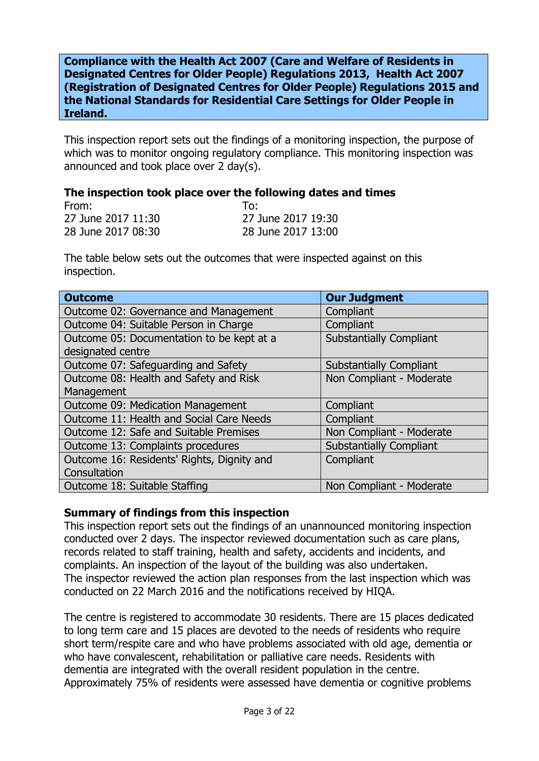**Compliance with the Health Act 2007 (Care and Welfare of Residents in Designated Centres for Older People) Regulations 2013, Health Act 2007 (Registration of Designated Centres for Older People) Regulations 2015 and the National Standards for Residential Care Settings for Older People in Ireland.**

This inspection report sets out the findings of a monitoring inspection, the purpose of which was to monitor ongoing regulatory compliance. This monitoring inspection was announced and took place over 2 day(s).

#### **The inspection took place over the following dates and times**

| From:              | To:                |
|--------------------|--------------------|
| 27 June 2017 11:30 | 27 June 2017 19:30 |
| 28 June 2017 08:30 | 28 June 2017 13:00 |

The table below sets out the outcomes that were inspected against on this inspection.

| <b>Outcome</b>                             | <b>Our Judgment</b>            |
|--------------------------------------------|--------------------------------|
| Outcome 02: Governance and Management      | Compliant                      |
| Outcome 04: Suitable Person in Charge      | Compliant                      |
| Outcome 05: Documentation to be kept at a  | <b>Substantially Compliant</b> |
| designated centre                          |                                |
| Outcome 07: Safeguarding and Safety        | <b>Substantially Compliant</b> |
| Outcome 08: Health and Safety and Risk     | Non Compliant - Moderate       |
| Management                                 |                                |
| Outcome 09: Medication Management          | Compliant                      |
| Outcome 11: Health and Social Care Needs   | Compliant                      |
| Outcome 12: Safe and Suitable Premises     | Non Compliant - Moderate       |
| Outcome 13: Complaints procedures          | <b>Substantially Compliant</b> |
| Outcome 16: Residents' Rights, Dignity and | Compliant                      |
| Consultation                               |                                |
| Outcome 18: Suitable Staffing              | Non Compliant - Moderate       |

## **Summary of findings from this inspection**

This inspection report sets out the findings of an unannounced monitoring inspection conducted over 2 days. The inspector reviewed documentation such as care plans, records related to staff training, health and safety, accidents and incidents, and complaints. An inspection of the layout of the building was also undertaken. The inspector reviewed the action plan responses from the last inspection which was conducted on 22 March 2016 and the notifications received by HIQA.

The centre is registered to accommodate 30 residents. There are 15 places dedicated to long term care and 15 places are devoted to the needs of residents who require short term/respite care and who have problems associated with old age, dementia or who have convalescent, rehabilitation or palliative care needs. Residents with dementia are integrated with the overall resident population in the centre. Approximately 75% of residents were assessed have dementia or cognitive problems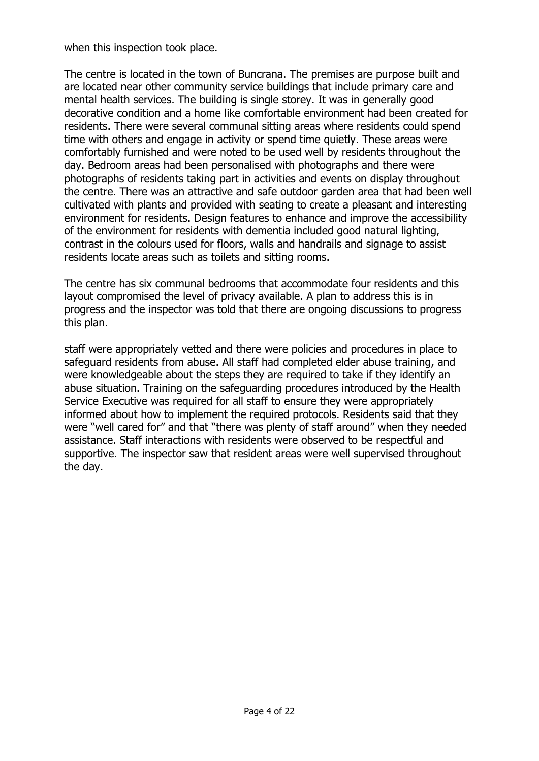when this inspection took place.

The centre is located in the town of Buncrana. The premises are purpose built and are located near other community service buildings that include primary care and mental health services. The building is single storey. It was in generally good decorative condition and a home like comfortable environment had been created for residents. There were several communal sitting areas where residents could spend time with others and engage in activity or spend time quietly. These areas were comfortably furnished and were noted to be used well by residents throughout the day. Bedroom areas had been personalised with photographs and there were photographs of residents taking part in activities and events on display throughout the centre. There was an attractive and safe outdoor garden area that had been well cultivated with plants and provided with seating to create a pleasant and interesting environment for residents. Design features to enhance and improve the accessibility of the environment for residents with dementia included good natural lighting, contrast in the colours used for floors, walls and handrails and signage to assist residents locate areas such as toilets and sitting rooms.

The centre has six communal bedrooms that accommodate four residents and this layout compromised the level of privacy available. A plan to address this is in progress and the inspector was told that there are ongoing discussions to progress this plan.

staff were appropriately vetted and there were policies and procedures in place to safeguard residents from abuse. All staff had completed elder abuse training, and were knowledgeable about the steps they are required to take if they identify an abuse situation. Training on the safeguarding procedures introduced by the Health Service Executive was required for all staff to ensure they were appropriately informed about how to implement the required protocols. Residents said that they were "well cared for" and that "there was plenty of staff around" when they needed assistance. Staff interactions with residents were observed to be respectful and supportive. The inspector saw that resident areas were well supervised throughout the day.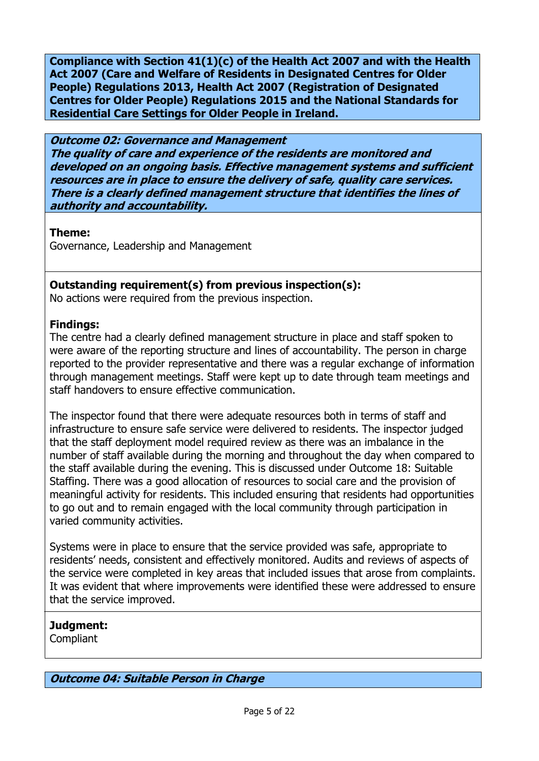**Compliance with Section 41(1)(c) of the Health Act 2007 and with the Health Act 2007 (Care and Welfare of Residents in Designated Centres for Older People) Regulations 2013, Health Act 2007 (Registration of Designated Centres for Older People) Regulations 2015 and the National Standards for Residential Care Settings for Older People in Ireland.**

**Outcome 02: Governance and Management The quality of care and experience of the residents are monitored and developed on an ongoing basis. Effective management systems and sufficient resources are in place to ensure the delivery of safe, quality care services. There is a clearly defined management structure that identifies the lines of authority and accountability.**

**Theme:** 

Governance, Leadership and Management

## **Outstanding requirement(s) from previous inspection(s):**

No actions were required from the previous inspection.

## **Findings:**

The centre had a clearly defined management structure in place and staff spoken to were aware of the reporting structure and lines of accountability. The person in charge reported to the provider representative and there was a regular exchange of information through management meetings. Staff were kept up to date through team meetings and staff handovers to ensure effective communication.

The inspector found that there were adequate resources both in terms of staff and infrastructure to ensure safe service were delivered to residents. The inspector judged that the staff deployment model required review as there was an imbalance in the number of staff available during the morning and throughout the day when compared to the staff available during the evening. This is discussed under Outcome 18: Suitable Staffing. There was a good allocation of resources to social care and the provision of meaningful activity for residents. This included ensuring that residents had opportunities to go out and to remain engaged with the local community through participation in varied community activities.

Systems were in place to ensure that the service provided was safe, appropriate to residents' needs, consistent and effectively monitored. Audits and reviews of aspects of the service were completed in key areas that included issues that arose from complaints. It was evident that where improvements were identified these were addressed to ensure that the service improved.

## **Judgment:**

Compliant

**Outcome 04: Suitable Person in Charge**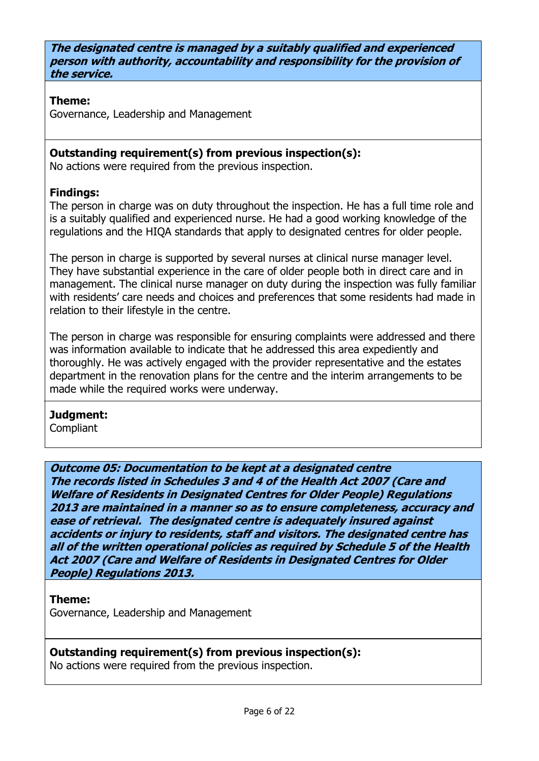**The designated centre is managed by a suitably qualified and experienced person with authority, accountability and responsibility for the provision of the service.**

## **Theme:**

Governance, Leadership and Management

## **Outstanding requirement(s) from previous inspection(s):**

No actions were required from the previous inspection.

## **Findings:**

The person in charge was on duty throughout the inspection. He has a full time role and is a suitably qualified and experienced nurse. He had a good working knowledge of the regulations and the HIQA standards that apply to designated centres for older people.

The person in charge is supported by several nurses at clinical nurse manager level. They have substantial experience in the care of older people both in direct care and in management. The clinical nurse manager on duty during the inspection was fully familiar with residents' care needs and choices and preferences that some residents had made in relation to their lifestyle in the centre.

The person in charge was responsible for ensuring complaints were addressed and there was information available to indicate that he addressed this area expediently and thoroughly. He was actively engaged with the provider representative and the estates department in the renovation plans for the centre and the interim arrangements to be made while the required works were underway.

# **Judgment:**

**Compliant** 

**Outcome 05: Documentation to be kept at a designated centre The records listed in Schedules 3 and 4 of the Health Act 2007 (Care and Welfare of Residents in Designated Centres for Older People) Regulations 2013 are maintained in a manner so as to ensure completeness, accuracy and ease of retrieval. The designated centre is adequately insured against accidents or injury to residents, staff and visitors. The designated centre has all of the written operational policies as required by Schedule 5 of the Health Act 2007 (Care and Welfare of Residents in Designated Centres for Older People) Regulations 2013.**

## **Theme:**

Governance, Leadership and Management

## **Outstanding requirement(s) from previous inspection(s):**

No actions were required from the previous inspection.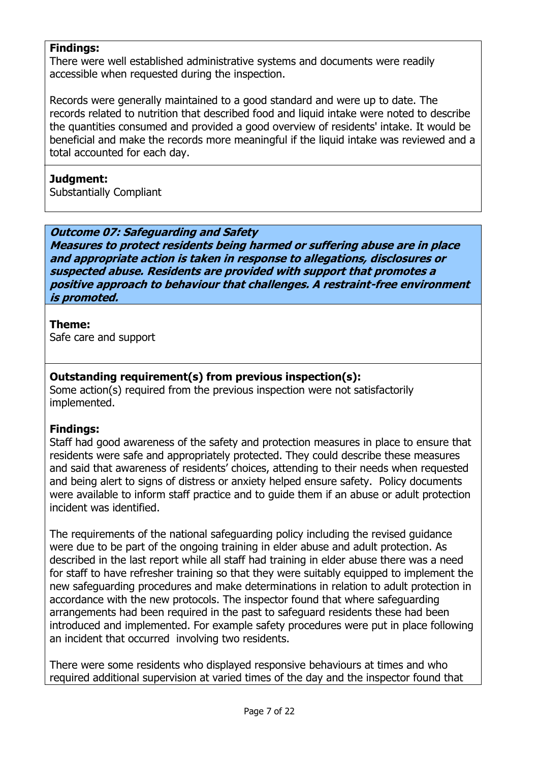## **Findings:**

There were well established administrative systems and documents were readily accessible when requested during the inspection.

Records were generally maintained to a good standard and were up to date. The records related to nutrition that described food and liquid intake were noted to describe the quantities consumed and provided a good overview of residents' intake. It would be beneficial and make the records more meaningful if the liquid intake was reviewed and a total accounted for each day.

#### **Judgment:**

Substantially Compliant

#### **Outcome 07: Safeguarding and Safety**

**Measures to protect residents being harmed or suffering abuse are in place and appropriate action is taken in response to allegations, disclosures or suspected abuse. Residents are provided with support that promotes a positive approach to behaviour that challenges. A restraint-free environment is promoted.**

## **Theme:**

Safe care and support

## **Outstanding requirement(s) from previous inspection(s):**

Some action(s) required from the previous inspection were not satisfactorily implemented.

## **Findings:**

Staff had good awareness of the safety and protection measures in place to ensure that residents were safe and appropriately protected. They could describe these measures and said that awareness of residents' choices, attending to their needs when requested and being alert to signs of distress or anxiety helped ensure safety. Policy documents were available to inform staff practice and to guide them if an abuse or adult protection incident was identified.

The requirements of the national safeguarding policy including the revised guidance were due to be part of the ongoing training in elder abuse and adult protection. As described in the last report while all staff had training in elder abuse there was a need for staff to have refresher training so that they were suitably equipped to implement the new safeguarding procedures and make determinations in relation to adult protection in accordance with the new protocols. The inspector found that where safeguarding arrangements had been required in the past to safeguard residents these had been introduced and implemented. For example safety procedures were put in place following an incident that occurred involving two residents.

There were some residents who displayed responsive behaviours at times and who required additional supervision at varied times of the day and the inspector found that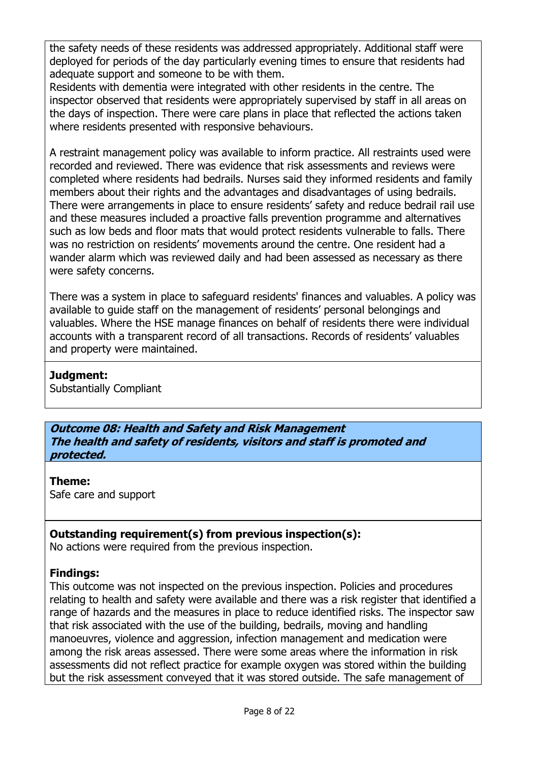the safety needs of these residents was addressed appropriately. Additional staff were deployed for periods of the day particularly evening times to ensure that residents had adequate support and someone to be with them.

Residents with dementia were integrated with other residents in the centre. The inspector observed that residents were appropriately supervised by staff in all areas on the days of inspection. There were care plans in place that reflected the actions taken where residents presented with responsive behaviours.

A restraint management policy was available to inform practice. All restraints used were recorded and reviewed. There was evidence that risk assessments and reviews were completed where residents had bedrails. Nurses said they informed residents and family members about their rights and the advantages and disadvantages of using bedrails. There were arrangements in place to ensure residents' safety and reduce bedrail rail use and these measures included a proactive falls prevention programme and alternatives such as low beds and floor mats that would protect residents vulnerable to falls. There was no restriction on residents' movements around the centre. One resident had a wander alarm which was reviewed daily and had been assessed as necessary as there were safety concerns.

There was a system in place to safeguard residents' finances and valuables. A policy was available to guide staff on the management of residents' personal belongings and valuables. Where the HSE manage finances on behalf of residents there were individual accounts with a transparent record of all transactions. Records of residents' valuables and property were maintained.

## **Judgment:**

Substantially Compliant

**Outcome 08: Health and Safety and Risk Management The health and safety of residents, visitors and staff is promoted and protected.**

## **Theme:**

Safe care and support

## **Outstanding requirement(s) from previous inspection(s):**

No actions were required from the previous inspection.

## **Findings:**

This outcome was not inspected on the previous inspection. Policies and procedures relating to health and safety were available and there was a risk register that identified a range of hazards and the measures in place to reduce identified risks. The inspector saw that risk associated with the use of the building, bedrails, moving and handling manoeuvres, violence and aggression, infection management and medication were among the risk areas assessed. There were some areas where the information in risk assessments did not reflect practice for example oxygen was stored within the building but the risk assessment conveyed that it was stored outside. The safe management of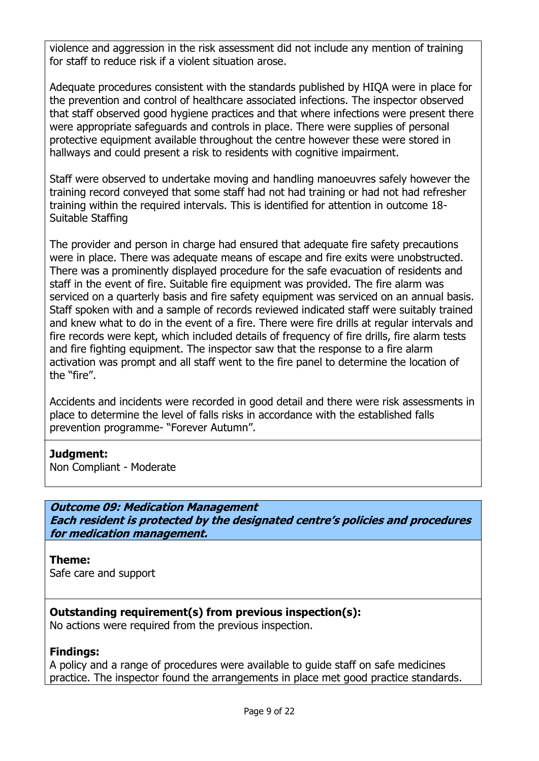violence and aggression in the risk assessment did not include any mention of training for staff to reduce risk if a violent situation arose.

Adequate procedures consistent with the standards published by HIQA were in place for the prevention and control of healthcare associated infections. The inspector observed that staff observed good hygiene practices and that where infections were present there were appropriate safeguards and controls in place. There were supplies of personal protective equipment available throughout the centre however these were stored in hallways and could present a risk to residents with cognitive impairment.

Staff were observed to undertake moving and handling manoeuvres safely however the training record conveyed that some staff had not had training or had not had refresher training within the required intervals. This is identified for attention in outcome 18- Suitable Staffing

The provider and person in charge had ensured that adequate fire safety precautions were in place. There was adequate means of escape and fire exits were unobstructed. There was a prominently displayed procedure for the safe evacuation of residents and staff in the event of fire. Suitable fire equipment was provided. The fire alarm was serviced on a quarterly basis and fire safety equipment was serviced on an annual basis. Staff spoken with and a sample of records reviewed indicated staff were suitably trained and knew what to do in the event of a fire. There were fire drills at regular intervals and fire records were kept, which included details of frequency of fire drills, fire alarm tests and fire fighting equipment. The inspector saw that the response to a fire alarm activation was prompt and all staff went to the fire panel to determine the location of the "fire".

Accidents and incidents were recorded in good detail and there were risk assessments in place to determine the level of falls risks in accordance with the established falls prevention programme- "Forever Autumn".

## **Judgment:**

Non Compliant - Moderate

## **Outcome 09: Medication Management**

**Each resident is protected by the designated centre's policies and procedures for medication management.**

## **Theme:**

Safe care and support

## **Outstanding requirement(s) from previous inspection(s):**

No actions were required from the previous inspection.

## **Findings:**

A policy and a range of procedures were available to guide staff on safe medicines practice. The inspector found the arrangements in place met good practice standards.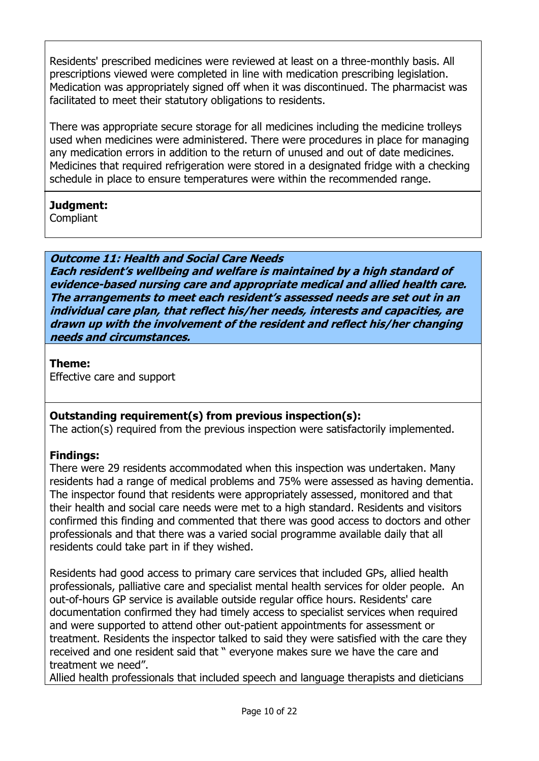Residents' prescribed medicines were reviewed at least on a three-monthly basis. All prescriptions viewed were completed in line with medication prescribing legislation. Medication was appropriately signed off when it was discontinued. The pharmacist was facilitated to meet their statutory obligations to residents.

There was appropriate secure storage for all medicines including the medicine trolleys used when medicines were administered. There were procedures in place for managing any medication errors in addition to the return of unused and out of date medicines. Medicines that required refrigeration were stored in a designated fridge with a checking schedule in place to ensure temperatures were within the recommended range.

## **Judgment:**

**Compliant** 

**Outcome 11: Health and Social Care Needs Each resident's wellbeing and welfare is maintained by a high standard of evidence-based nursing care and appropriate medical and allied health care. The arrangements to meet each resident's assessed needs are set out in an individual care plan, that reflect his/her needs, interests and capacities, are drawn up with the involvement of the resident and reflect his/her changing needs and circumstances.**

## **Theme:**

Effective care and support

## **Outstanding requirement(s) from previous inspection(s):**

The action(s) required from the previous inspection were satisfactorily implemented.

## **Findings:**

There were 29 residents accommodated when this inspection was undertaken. Many residents had a range of medical problems and 75% were assessed as having dementia. The inspector found that residents were appropriately assessed, monitored and that their health and social care needs were met to a high standard. Residents and visitors confirmed this finding and commented that there was good access to doctors and other professionals and that there was a varied social programme available daily that all residents could take part in if they wished.

Residents had good access to primary care services that included GPs, allied health professionals, palliative care and specialist mental health services for older people. An out-of-hours GP service is available outside regular office hours. Residents' care documentation confirmed they had timely access to specialist services when required and were supported to attend other out-patient appointments for assessment or treatment. Residents the inspector talked to said they were satisfied with the care they received and one resident said that " everyone makes sure we have the care and treatment we need".

Allied health professionals that included speech and language therapists and dieticians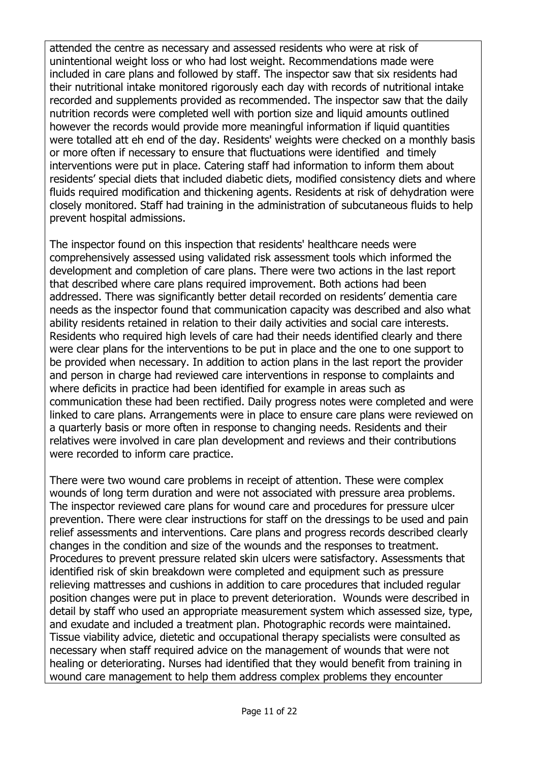attended the centre as necessary and assessed residents who were at risk of unintentional weight loss or who had lost weight. Recommendations made were included in care plans and followed by staff. The inspector saw that six residents had their nutritional intake monitored rigorously each day with records of nutritional intake recorded and supplements provided as recommended. The inspector saw that the daily nutrition records were completed well with portion size and liquid amounts outlined however the records would provide more meaningful information if liquid quantities were totalled att eh end of the day. Residents' weights were checked on a monthly basis or more often if necessary to ensure that fluctuations were identified and timely interventions were put in place. Catering staff had information to inform them about residents' special diets that included diabetic diets, modified consistency diets and where fluids required modification and thickening agents. Residents at risk of dehydration were closely monitored. Staff had training in the administration of subcutaneous fluids to help prevent hospital admissions.

The inspector found on this inspection that residents' healthcare needs were comprehensively assessed using validated risk assessment tools which informed the development and completion of care plans. There were two actions in the last report that described where care plans required improvement. Both actions had been addressed. There was significantly better detail recorded on residents' dementia care needs as the inspector found that communication capacity was described and also what ability residents retained in relation to their daily activities and social care interests. Residents who required high levels of care had their needs identified clearly and there were clear plans for the interventions to be put in place and the one to one support to be provided when necessary. In addition to action plans in the last report the provider and person in charge had reviewed care interventions in response to complaints and where deficits in practice had been identified for example in areas such as communication these had been rectified. Daily progress notes were completed and were linked to care plans. Arrangements were in place to ensure care plans were reviewed on a quarterly basis or more often in response to changing needs. Residents and their relatives were involved in care plan development and reviews and their contributions were recorded to inform care practice.

There were two wound care problems in receipt of attention. These were complex wounds of long term duration and were not associated with pressure area problems. The inspector reviewed care plans for wound care and procedures for pressure ulcer prevention. There were clear instructions for staff on the dressings to be used and pain relief assessments and interventions. Care plans and progress records described clearly changes in the condition and size of the wounds and the responses to treatment. Procedures to prevent pressure related skin ulcers were satisfactory. Assessments that identified risk of skin breakdown were completed and equipment such as pressure relieving mattresses and cushions in addition to care procedures that included regular position changes were put in place to prevent deterioration. Wounds were described in detail by staff who used an appropriate measurement system which assessed size, type, and exudate and included a treatment plan. Photographic records were maintained. Tissue viability advice, dietetic and occupational therapy specialists were consulted as necessary when staff required advice on the management of wounds that were not healing or deteriorating. Nurses had identified that they would benefit from training in wound care management to help them address complex problems they encounter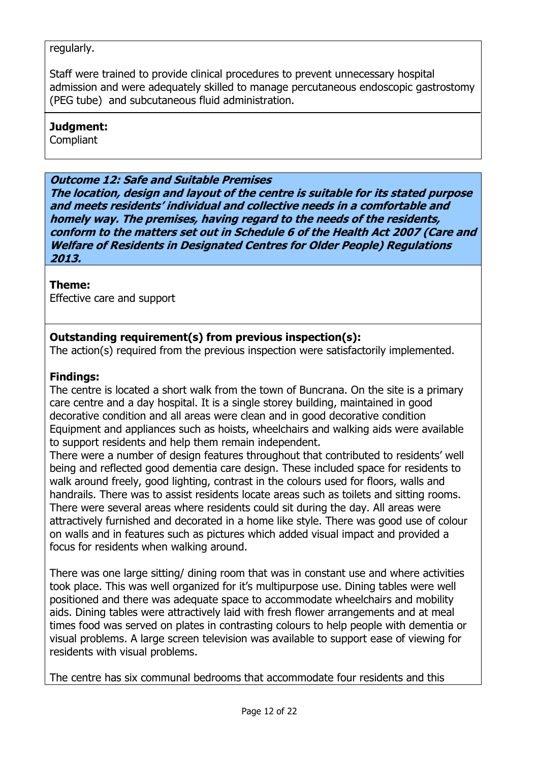## regularly.

Staff were trained to provide clinical procedures to prevent unnecessary hospital admission and were adequately skilled to manage percutaneous endoscopic gastrostomy (PEG tube) and subcutaneous fluid administration.

#### **Judgment:**

**Compliant** 

#### **Outcome 12: Safe and Suitable Premises**

**The location, design and layout of the centre is suitable for its stated purpose and meets residents' individual and collective needs in a comfortable and homely way. The premises, having regard to the needs of the residents, conform to the matters set out in Schedule 6 of the Health Act 2007 (Care and Welfare of Residents in Designated Centres for Older People) Regulations 2013.**

## **Theme:**

Effective care and support

## **Outstanding requirement(s) from previous inspection(s):**

The action(s) required from the previous inspection were satisfactorily implemented.

## **Findings:**

The centre is located a short walk from the town of Buncrana. On the site is a primary care centre and a day hospital. It is a single storey building, maintained in good decorative condition and all areas were clean and in good decorative condition Equipment and appliances such as hoists, wheelchairs and walking aids were available to support residents and help them remain independent.

There were a number of design features throughout that contributed to residents' well being and reflected good dementia care design. These included space for residents to walk around freely, good lighting, contrast in the colours used for floors, walls and handrails. There was to assist residents locate areas such as toilets and sitting rooms. There were several areas where residents could sit during the day. All areas were attractively furnished and decorated in a home like style. There was good use of colour on walls and in features such as pictures which added visual impact and provided a focus for residents when walking around.

There was one large sitting/ dining room that was in constant use and where activities took place. This was well organized for it's multipurpose use. Dining tables were well positioned and there was adequate space to accommodate wheelchairs and mobility aids. Dining tables were attractively laid with fresh flower arrangements and at meal times food was served on plates in contrasting colours to help people with dementia or visual problems. A large screen television was available to support ease of viewing for residents with visual problems.

The centre has six communal bedrooms that accommodate four residents and this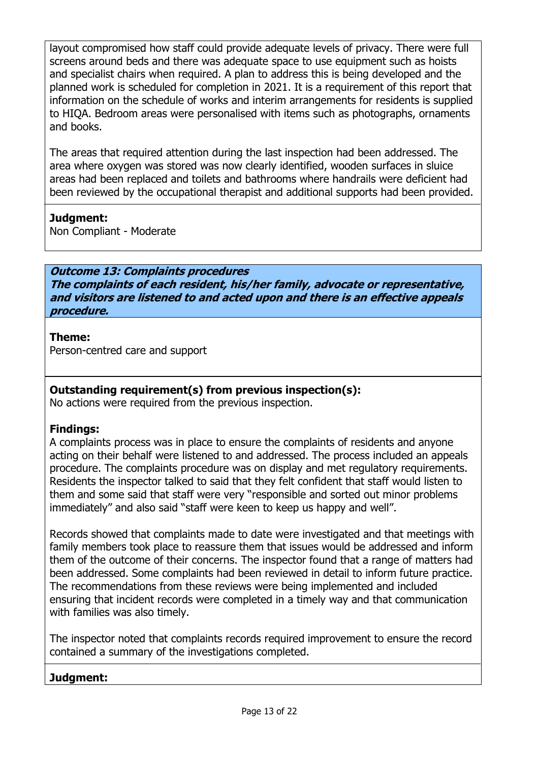layout compromised how staff could provide adequate levels of privacy. There were full screens around beds and there was adequate space to use equipment such as hoists and specialist chairs when required. A plan to address this is being developed and the planned work is scheduled for completion in 2021. It is a requirement of this report that information on the schedule of works and interim arrangements for residents is supplied to HIQA. Bedroom areas were personalised with items such as photographs, ornaments and books.

The areas that required attention during the last inspection had been addressed. The area where oxygen was stored was now clearly identified, wooden surfaces in sluice areas had been replaced and toilets and bathrooms where handrails were deficient had been reviewed by the occupational therapist and additional supports had been provided.

## **Judgment:**

Non Compliant - Moderate

## **Outcome 13: Complaints procedures The complaints of each resident, his/her family, advocate or representative, and visitors are listened to and acted upon and there is an effective appeals procedure.**

## **Theme:**

Person-centred care and support

## **Outstanding requirement(s) from previous inspection(s):**

No actions were required from the previous inspection.

## **Findings:**

A complaints process was in place to ensure the complaints of residents and anyone acting on their behalf were listened to and addressed. The process included an appeals procedure. The complaints procedure was on display and met regulatory requirements. Residents the inspector talked to said that they felt confident that staff would listen to them and some said that staff were very "responsible and sorted out minor problems immediately" and also said "staff were keen to keep us happy and well".

Records showed that complaints made to date were investigated and that meetings with family members took place to reassure them that issues would be addressed and inform them of the outcome of their concerns. The inspector found that a range of matters had been addressed. Some complaints had been reviewed in detail to inform future practice. The recommendations from these reviews were being implemented and included ensuring that incident records were completed in a timely way and that communication with families was also timely.

The inspector noted that complaints records required improvement to ensure the record contained a summary of the investigations completed.

## **Judgment:**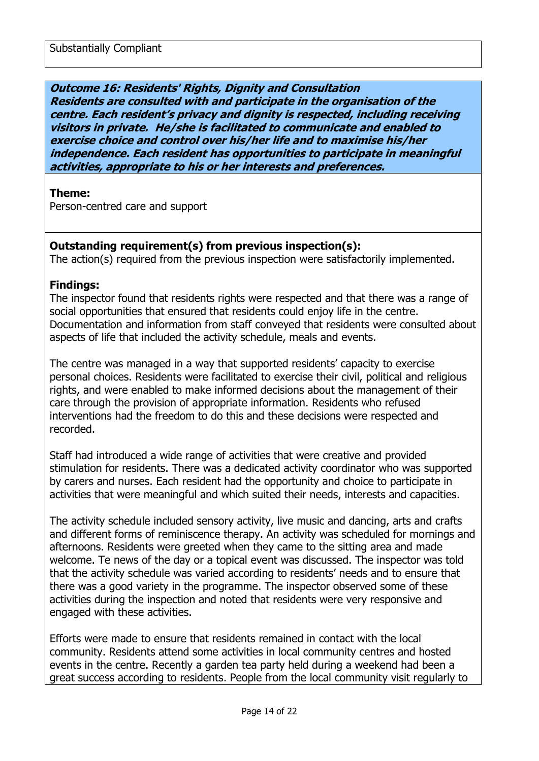## **Outcome 16: Residents' Rights, Dignity and Consultation Residents are consulted with and participate in the organisation of the centre. Each resident's privacy and dignity is respected, including receiving visitors in private. He/she is facilitated to communicate and enabled to exercise choice and control over his/her life and to maximise his/her independence. Each resident has opportunities to participate in meaningful activities, appropriate to his or her interests and preferences.**

#### **Theme:**

Person-centred care and support

#### **Outstanding requirement(s) from previous inspection(s):**

The action(s) required from the previous inspection were satisfactorily implemented.

#### **Findings:**

The inspector found that residents rights were respected and that there was a range of social opportunities that ensured that residents could enjoy life in the centre. Documentation and information from staff conveyed that residents were consulted about aspects of life that included the activity schedule, meals and events.

The centre was managed in a way that supported residents' capacity to exercise personal choices. Residents were facilitated to exercise their civil, political and religious rights, and were enabled to make informed decisions about the management of their care through the provision of appropriate information. Residents who refused interventions had the freedom to do this and these decisions were respected and recorded.

Staff had introduced a wide range of activities that were creative and provided stimulation for residents. There was a dedicated activity coordinator who was supported by carers and nurses. Each resident had the opportunity and choice to participate in activities that were meaningful and which suited their needs, interests and capacities.

The activity schedule included sensory activity, live music and dancing, arts and crafts and different forms of reminiscence therapy. An activity was scheduled for mornings and afternoons. Residents were greeted when they came to the sitting area and made welcome. Te news of the day or a topical event was discussed. The inspector was told that the activity schedule was varied according to residents' needs and to ensure that there was a good variety in the programme. The inspector observed some of these activities during the inspection and noted that residents were very responsive and engaged with these activities.

Efforts were made to ensure that residents remained in contact with the local community. Residents attend some activities in local community centres and hosted events in the centre. Recently a garden tea party held during a weekend had been a great success according to residents. People from the local community visit regularly to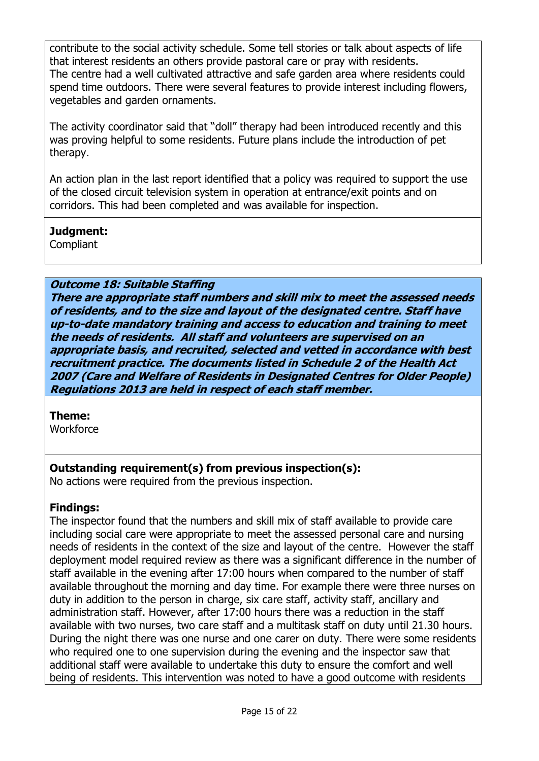contribute to the social activity schedule. Some tell stories or talk about aspects of life that interest residents an others provide pastoral care or pray with residents. The centre had a well cultivated attractive and safe garden area where residents could spend time outdoors. There were several features to provide interest including flowers, vegetables and garden ornaments.

The activity coordinator said that "doll" therapy had been introduced recently and this was proving helpful to some residents. Future plans include the introduction of pet therapy.

An action plan in the last report identified that a policy was required to support the use of the closed circuit television system in operation at entrance/exit points and on corridors. This had been completed and was available for inspection.

## **Judgment:**

Compliant

## **Outcome 18: Suitable Staffing**

**There are appropriate staff numbers and skill mix to meet the assessed needs of residents, and to the size and layout of the designated centre. Staff have up-to-date mandatory training and access to education and training to meet the needs of residents. All staff and volunteers are supervised on an appropriate basis, and recruited, selected and vetted in accordance with best recruitment practice. The documents listed in Schedule 2 of the Health Act 2007 (Care and Welfare of Residents in Designated Centres for Older People) Regulations 2013 are held in respect of each staff member.**

## **Theme:**

**Workforce** 

## **Outstanding requirement(s) from previous inspection(s):**

No actions were required from the previous inspection.

## **Findings:**

The inspector found that the numbers and skill mix of staff available to provide care including social care were appropriate to meet the assessed personal care and nursing needs of residents in the context of the size and layout of the centre. However the staff deployment model required review as there was a significant difference in the number of staff available in the evening after 17:00 hours when compared to the number of staff available throughout the morning and day time. For example there were three nurses on duty in addition to the person in charge, six care staff, activity staff, ancillary and administration staff. However, after 17:00 hours there was a reduction in the staff available with two nurses, two care staff and a multitask staff on duty until 21.30 hours. During the night there was one nurse and one carer on duty. There were some residents who required one to one supervision during the evening and the inspector saw that additional staff were available to undertake this duty to ensure the comfort and well being of residents. This intervention was noted to have a good outcome with residents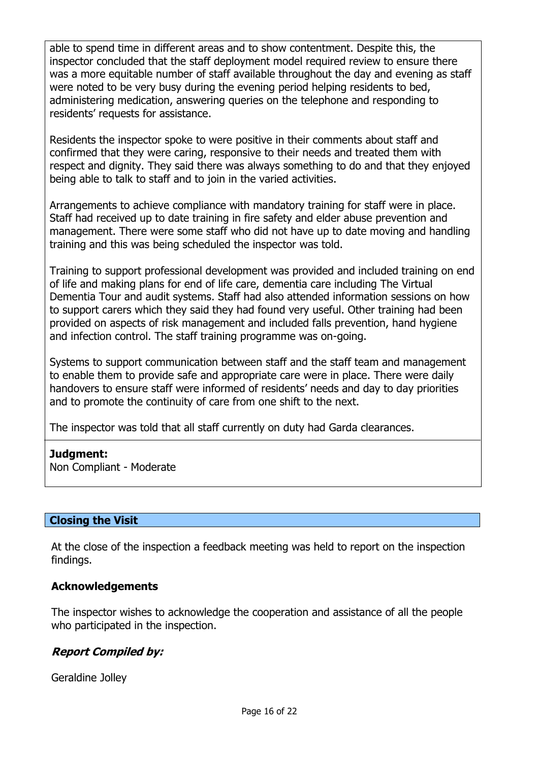able to spend time in different areas and to show contentment. Despite this, the inspector concluded that the staff deployment model required review to ensure there was a more equitable number of staff available throughout the day and evening as staff were noted to be very busy during the evening period helping residents to bed, administering medication, answering queries on the telephone and responding to residents' requests for assistance.

Residents the inspector spoke to were positive in their comments about staff and confirmed that they were caring, responsive to their needs and treated them with respect and dignity. They said there was always something to do and that they enjoyed being able to talk to staff and to join in the varied activities.

Arrangements to achieve compliance with mandatory training for staff were in place. Staff had received up to date training in fire safety and elder abuse prevention and management. There were some staff who did not have up to date moving and handling training and this was being scheduled the inspector was told.

Training to support professional development was provided and included training on end of life and making plans for end of life care, dementia care including The Virtual Dementia Tour and audit systems. Staff had also attended information sessions on how to support carers which they said they had found very useful. Other training had been provided on aspects of risk management and included falls prevention, hand hygiene and infection control. The staff training programme was on-going.

Systems to support communication between staff and the staff team and management to enable them to provide safe and appropriate care were in place. There were daily handovers to ensure staff were informed of residents' needs and day to day priorities and to promote the continuity of care from one shift to the next.

The inspector was told that all staff currently on duty had Garda clearances.

## **Judgment:**

Non Compliant - Moderate

## **Closing the Visit**

At the close of the inspection a feedback meeting was held to report on the inspection findings.

## **Acknowledgements**

The inspector wishes to acknowledge the cooperation and assistance of all the people who participated in the inspection.

## **Report Compiled by:**

Geraldine Jolley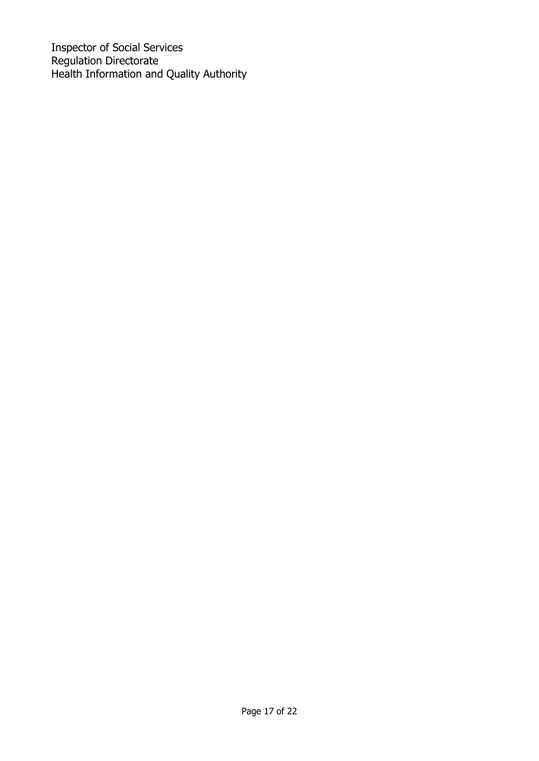Inspector of Social Services Regulation Directorate Health Information and Quality Authority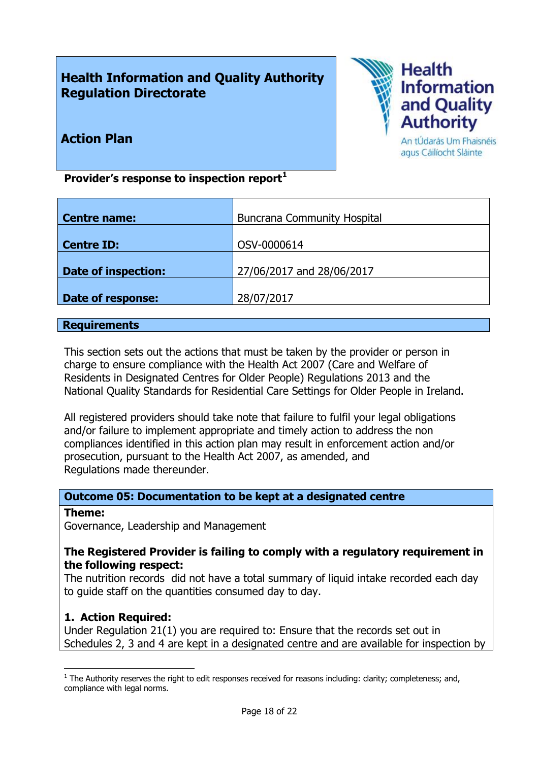# **Health Information and Quality Authority Regulation Directorate**



## **Action Plan**

An tÚdarás Um Fhaisnéis agus Cáilíocht Sláinte

**Provider's response to inspection report<sup>1</sup>**

| <b>Centre name:</b>        | <b>Buncrana Community Hospital</b> |
|----------------------------|------------------------------------|
|                            |                                    |
| <b>Centre ID:</b>          | OSV-0000614                        |
|                            |                                    |
| <b>Date of inspection:</b> | 27/06/2017 and 28/06/2017          |
|                            |                                    |
| Date of response:          | 28/07/2017                         |
|                            |                                    |

#### **Requirements**

This section sets out the actions that must be taken by the provider or person in charge to ensure compliance with the Health Act 2007 (Care and Welfare of Residents in Designated Centres for Older People) Regulations 2013 and the National Quality Standards for Residential Care Settings for Older People in Ireland.

All registered providers should take note that failure to fulfil your legal obligations and/or failure to implement appropriate and timely action to address the non compliances identified in this action plan may result in enforcement action and/or prosecution, pursuant to the Health Act 2007, as amended, and Regulations made thereunder.

## **Outcome 05: Documentation to be kept at a designated centre**

#### **Theme:**

 $\overline{a}$ 

Governance, Leadership and Management

## **The Registered Provider is failing to comply with a regulatory requirement in the following respect:**

The nutrition records did not have a total summary of liquid intake recorded each day to guide staff on the quantities consumed day to day.

## **1. Action Required:**

Under Regulation 21(1) you are required to: Ensure that the records set out in Schedules 2, 3 and 4 are kept in a designated centre and are available for inspection by

 $<sup>1</sup>$  The Authority reserves the right to edit responses received for reasons including: clarity; completeness; and,</sup> compliance with legal norms.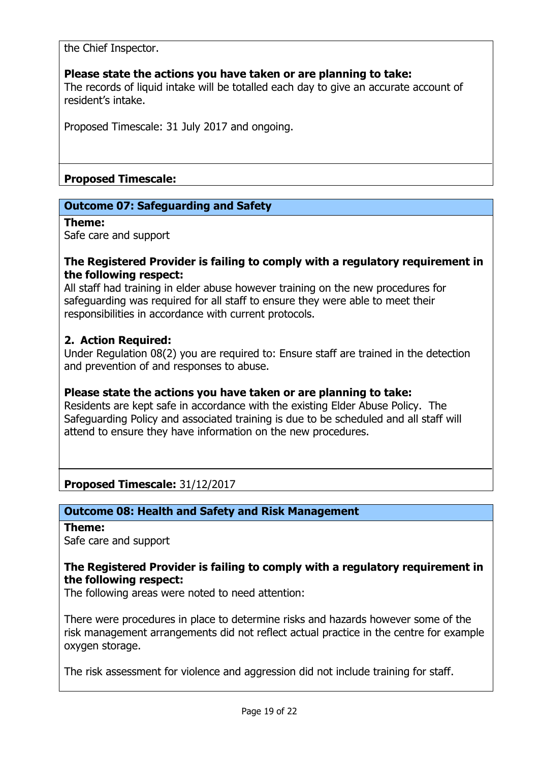the Chief Inspector.

## **Please state the actions you have taken or are planning to take:**

The records of liquid intake will be totalled each day to give an accurate account of resident's intake.

Proposed Timescale: 31 July 2017 and ongoing.

## **Proposed Timescale:**

## **Outcome 07: Safeguarding and Safety**

#### **Theme:**

Safe care and support

#### **The Registered Provider is failing to comply with a regulatory requirement in the following respect:**

All staff had training in elder abuse however training on the new procedures for safeguarding was required for all staff to ensure they were able to meet their responsibilities in accordance with current protocols.

## **2. Action Required:**

Under Regulation 08(2) you are required to: Ensure staff are trained in the detection and prevention of and responses to abuse.

## **Please state the actions you have taken or are planning to take:**

Residents are kept safe in accordance with the existing Elder Abuse Policy. The Safeguarding Policy and associated training is due to be scheduled and all staff will attend to ensure they have information on the new procedures.

**Proposed Timescale:** 31/12/2017

## **Outcome 08: Health and Safety and Risk Management**

#### **Theme:**

Safe care and support

## **The Registered Provider is failing to comply with a regulatory requirement in the following respect:**

The following areas were noted to need attention:

There were procedures in place to determine risks and hazards however some of the risk management arrangements did not reflect actual practice in the centre for example oxygen storage.

The risk assessment for violence and aggression did not include training for staff.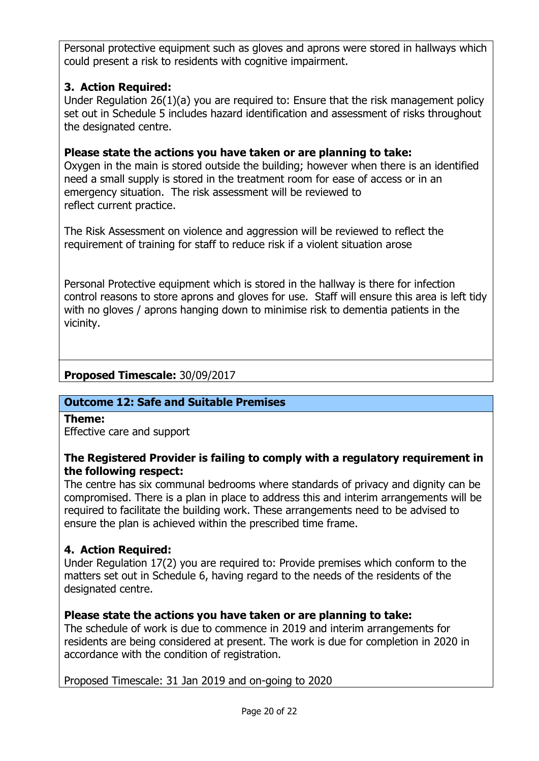Personal protective equipment such as gloves and aprons were stored in hallways which could present a risk to residents with cognitive impairment.

## **3. Action Required:**

Under Regulation 26(1)(a) you are required to: Ensure that the risk management policy set out in Schedule 5 includes hazard identification and assessment of risks throughout the designated centre.

## **Please state the actions you have taken or are planning to take:**

Oxygen in the main is stored outside the building; however when there is an identified need a small supply is stored in the treatment room for ease of access or in an emergency situation. The risk assessment will be reviewed to reflect current practice.

The Risk Assessment on violence and aggression will be reviewed to reflect the requirement of training for staff to reduce risk if a violent situation arose

Personal Protective equipment which is stored in the hallway is there for infection control reasons to store aprons and gloves for use. Staff will ensure this area is left tidy with no gloves / aprons hanging down to minimise risk to dementia patients in the vicinity.

## **Proposed Timescale:** 30/09/2017

## **Outcome 12: Safe and Suitable Premises**

**Theme:**  Effective care and support

## **The Registered Provider is failing to comply with a regulatory requirement in the following respect:**

The centre has six communal bedrooms where standards of privacy and dignity can be compromised. There is a plan in place to address this and interim arrangements will be required to facilitate the building work. These arrangements need to be advised to ensure the plan is achieved within the prescribed time frame.

## **4. Action Required:**

Under Regulation 17(2) you are required to: Provide premises which conform to the matters set out in Schedule 6, having regard to the needs of the residents of the designated centre.

## **Please state the actions you have taken or are planning to take:**

The schedule of work is due to commence in 2019 and interim arrangements for residents are being considered at present. The work is due for completion in 2020 in accordance with the condition of registration.

Proposed Timescale: 31 Jan 2019 and on-going to 2020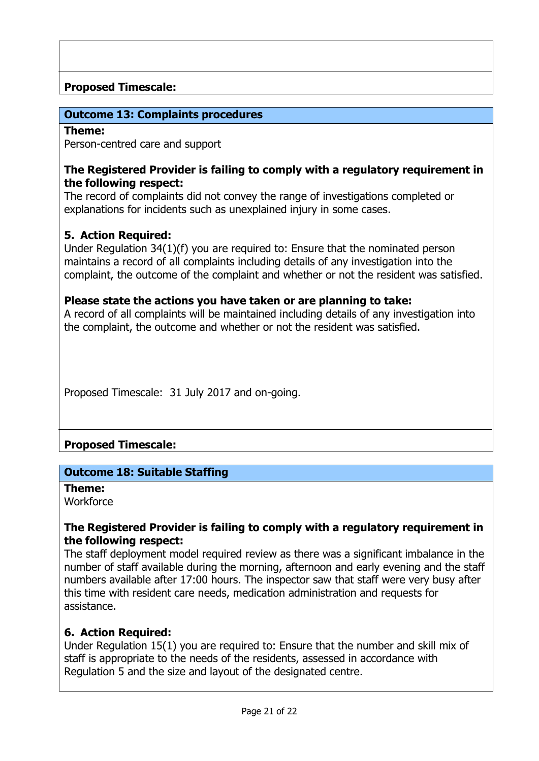## **Proposed Timescale:**

## **Outcome 13: Complaints procedures**

#### **Theme:**

Person-centred care and support

#### **The Registered Provider is failing to comply with a regulatory requirement in the following respect:**

The record of complaints did not convey the range of investigations completed or explanations for incidents such as unexplained injury in some cases.

## **5. Action Required:**

Under Regulation 34(1)(f) you are required to: Ensure that the nominated person maintains a record of all complaints including details of any investigation into the complaint, the outcome of the complaint and whether or not the resident was satisfied.

#### **Please state the actions you have taken or are planning to take:**

A record of all complaints will be maintained including details of any investigation into the complaint, the outcome and whether or not the resident was satisfied.

Proposed Timescale: 31 July 2017 and on-going.

## **Proposed Timescale:**

## **Outcome 18: Suitable Staffing**

**Theme: Workforce** 

## **The Registered Provider is failing to comply with a regulatory requirement in the following respect:**

The staff deployment model required review as there was a significant imbalance in the number of staff available during the morning, afternoon and early evening and the staff numbers available after 17:00 hours. The inspector saw that staff were very busy after this time with resident care needs, medication administration and requests for assistance.

## **6. Action Required:**

Under Regulation 15(1) you are required to: Ensure that the number and skill mix of staff is appropriate to the needs of the residents, assessed in accordance with Regulation 5 and the size and layout of the designated centre.